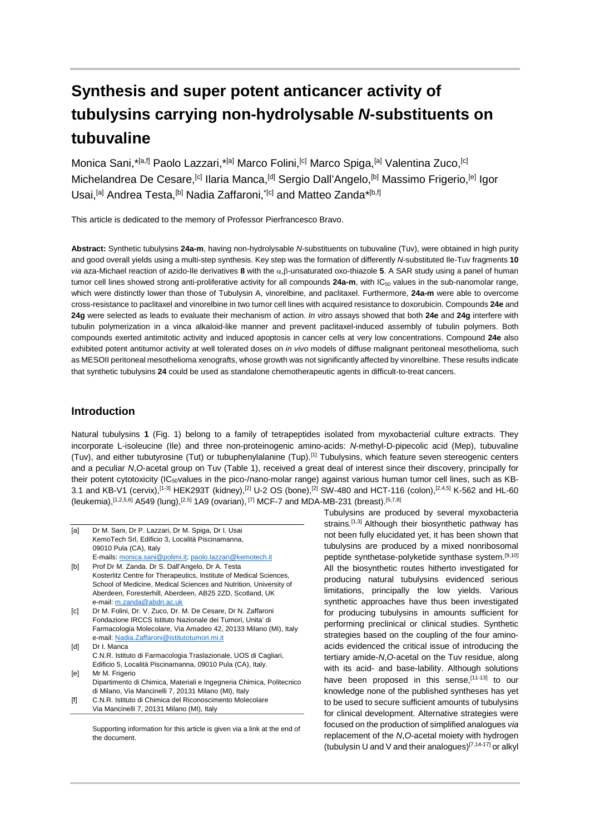# **Synthesis and super potent anticancer activity of tubulysins carrying non-hydrolysable** *N***-substituents on tubuvaline**

Monica Sani, \*<sup>[a,f]</sup> Paolo Lazzari, \*<sup>[a]</sup> Marco Folini,<sup>[c]</sup> Marco Spiga,<sup>[a]</sup> Valentina Zuco,<sup>[c]</sup> Michelandrea De Cesare,<sup>[c]</sup> Ilaria Manca,<sup>[d]</sup> Sergio Dall'Angelo,<sup>[b]</sup> Massimo Frigerio,<sup>[e]</sup> Igor Usai,<sup>[a]</sup> Andrea Testa,<sup>[b]</sup> Nadia Zaffaroni,<sup>\*[c]</sup> and Matteo Zanda\*<sup>[b,f]</sup>

This article is dedicated to the memory of Professor Pierfrancesco Bravo.

**Abstract:** Synthetic tubulysins **24a-m**, having non-hydrolysable *N*-substituents on tubuvaline (Tuv), were obtained in high purity and good overall yields using a multi-step synthesis. Key step was the formation of differently *N*-substituted Ile-Tuv fragments **10** *via* aza-Michael reaction of azido-Ile derivatives **8** with the α,β-unsaturated oxo-thiazole **5**. A SAR study using a panel of human tumor cell lines showed strong anti-proliferative activity for all compounds 24a-m, with IC<sub>50</sub> values in the sub-nanomolar range, which were distinctly lower than those of Tubulysin A, vinorelbine, and paclitaxel. Furthermore, **24a-m** were able to overcome cross-resistance to paclitaxel and vinorelbine in two tumor cell lines with acquired resistance to doxorubicin. Compounds **24e** and **24g** were selected as leads to evaluate their mechanism of action. *In vitro* assays showed that both **24e** and **24g** interfere with tubulin polymerization in a vinca alkaloid-like manner and prevent paclitaxel-induced assembly of tubulin polymers. Both compounds exerted antimitotic activity and induced apoptosis in cancer cells at very low concentrations. Compound **24e** also exhibited potent antitumor activity at well tolerated doses on *in vivo* models of diffuse malignant peritoneal mesothelioma, such as MESOII peritoneal mesothelioma xenografts, whose growth was not significantly affected by vinorelbine. These results indicate that synthetic tubulysins **24** could be used as standalone chemotherapeutic agents in difficult-to-treat cancers.

### **Introduction**

Natural tubulysins **1** (Fig. 1) belong to a family of tetrapeptides isolated from myxobacterial culture extracts. They incorporate L-isoleucine (Ile) and three non-proteinogenic amino-acids: *N*-methyl-D-pipecolic acid (Mep), tubuvaline (Tuv), and either tubutyrosine (Tut) or tubuphenylalanine (Tup).[1] Tubulysins, which feature seven stereogenic centers and a peculiar *N*,*O*-acetal group on Tuv (Table 1), received a great deal of interest since their discovery, principally for their potent cytotoxicity (IC<sub>50</sub>values in the pico-/nano-molar range) against various human tumor cell lines, such as KB-3.1 and KB-V1 (cervix),<sup>[1-3]</sup> HEK293T (kidney),<sup>[2]</sup> U-2 OS (bone),<sup>[2]</sup> SW-480 and HCT-116 (colon),<sup>[2,4,5]</sup> K-562 and HL-60 (leukemia), [1,2,5,6] A549 (lung),  $[2,5]$  1A9 (ovarian),  $[7]$  MCF-7 and MDA-MB-231 (breast),  $[5,7,8]$ 

- [a] Dr M. Sani, Dr P. Lazzari, Dr M. Spiga, Dr I. Usai KemoTech Srl, Edificio 3, Località Piscinamanna, 09010 Pula (CA), Italy E-mails[: monica.sani@polimi.it;](mailto:monica.sani@polimi.it) [paolo.lazzari@kemotech.it](mailto:paolo.lazzari@kemotech.it)
- [b] Prof Dr M. Zanda. Dr S. Dall'Angelo, Dr A. Testa Kosterlitz Centre for Therapeutics, Institute of Medical Sciences, School of Medicine, Medical Sciences and Nutrition, University of Aberdeen, Foresterhill, Aberdeen, AB25 2ZD, Scotland, UK e-mail[: m.zanda@abdn.ac.uk](mailto:m.zanda@abdn.ac.uk)
- [c] Dr M. Folini, Dr. V. Zuco, Dr. M. De Cesare, Dr N. Zaffaroni Fondazione IRCCS Istituto Nazionale dei Tumori, Unita' di Farmacologia Molecolare, Via Amadeo 42, 20133 Milano (MI), Italy e-mail[: Nadia.Zaffaroni@istitutotumori.mi.it](mailto:Nadia.Zaffaroni@istitutotumori.mi.it)
- [d] Dr I. Manca C.N.R. Istituto di Farmacologia Traslazionale, UOS di Cagliari, Edificio 5, Località Piscinamanna, 09010 Pula (CA), Italy. [e] Mr M. Frigerio
- Dipartimento di Chimica, Materiali e Ingegneria Chimica, Politecnico di Milano, Via Mancinelli 7, 20131 Milano (MI), Italy
- [f] C.N.R. Istituto di Chimica del Riconoscimento Molecolare Via Mancinelli 7, 20131 Milano (MI), Italy

Supporting information for this article is given via a link at the end of the document.

Tubulysins are produced by several myxobacteria strains.<sup>[1,3]</sup> Although their biosynthetic pathway has not been fully elucidated yet, it has been shown that tubulysins are produced by a mixed nonribosomal peptide synthetase-polyketide synthase system.[9,10] All the biosynthetic routes hitherto investigated for producing natural tubulysins evidenced serious limitations, principally the low yields. Various synthetic approaches have thus been investigated for producing tubulysins in amounts sufficient for performing preclinical or clinical studies. Synthetic strategies based on the coupling of the four aminoacids evidenced the critical issue of introducing the tertiary amide-*N*,*O*-acetal on the Tuv residue, along with its acid- and base-lability. Although solutions have been proposed in this sense.<sup>[11-13]</sup> to our knowledge none of the published syntheses has yet to be used to secure sufficient amounts of tubulysins for clinical development. Alternative strategies were focused on the production of simplified analogues *via* replacement of the *N*,*O*-acetal moiety with hydrogen (tubulysin U and V and their analogues)[7,14-17] or alkyl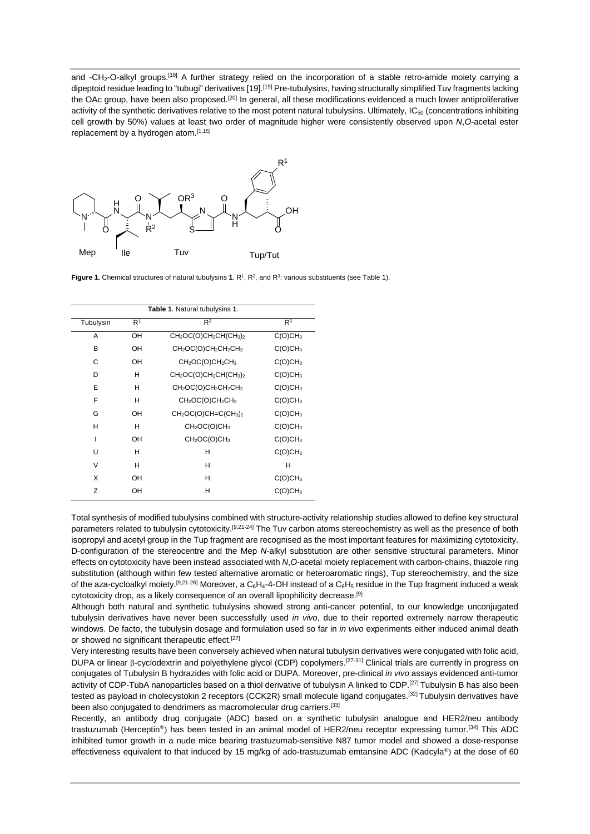and -CH2-O-alkyl groups.[18] A further strategy relied on the incorporation of a stable retro-amide moiety carrying a dipeptoid residue leading to "tubugi" derivatives [19].<sup>[19]</sup> Pre-tubulysins, having structurally simplified Tuv fragments lacking the OAc group, have been also proposed.<sup>[20]</sup> In general, all these modifications evidenced a much lower antiproliferative activity of the synthetic derivatives relative to the most potent natural tubulysins. Ultimately, IC<sub>50</sub> (concentrations inhibiting cell growth by 50%) values at least two order of magnitude higher were consistently observed upon *N*,*O*-acetal ester replacement by a hydrogen atom.<sup>[1,15]</sup>



**Figure 1.** Chemical structures of natural tubulysins  $1 \text{.} R<sup>1</sup>$ ,  $R<sup>2</sup>$ , and  $R<sup>3</sup>$ : various substituents (see Table 1).

| Table 1. Natural tubulysins 1. |                |                                                                        |                     |  |
|--------------------------------|----------------|------------------------------------------------------------------------|---------------------|--|
| Tubulysin                      | R <sup>1</sup> | $R^2$                                                                  | R <sup>3</sup>      |  |
| A                              | OH             | $CH2OC(O)CH2CH(CH3)2$                                                  | C(O)CH <sub>3</sub> |  |
| B                              | OH             | $CH2OC(O)CH2CH2CH3$                                                    | C(O)CH <sub>3</sub> |  |
| C                              | OН             | CH <sub>2</sub> OC(O)CH <sub>2</sub> CH <sub>3</sub>                   | C(O)CH <sub>3</sub> |  |
| D                              | н              | CH <sub>2</sub> OC(O)CH <sub>2</sub> CH(CH <sub>3</sub> ) <sub>2</sub> | C(O)CH <sub>3</sub> |  |
| E                              | н              | CH <sub>2</sub> OC(O)CH <sub>2</sub> CH <sub>2</sub> CH <sub>3</sub>   | C(O)CH <sub>3</sub> |  |
| F                              | н              | CH <sub>2</sub> OC(O)CH <sub>2</sub> CH <sub>3</sub>                   | C(O)CH <sub>3</sub> |  |
| G                              | OН             | $CH2OC(O)CH=C(CH3)2$                                                   | C(O)CH <sub>3</sub> |  |
| н                              | н              | CH <sub>2</sub> OC(O)CH <sub>3</sub>                                   | C(O)CH <sub>3</sub> |  |
| ı                              | OН             | CH <sub>2</sub> OC(O)CH <sub>3</sub>                                   | C(O)CH <sub>3</sub> |  |
| U                              | н              | н                                                                      | C(O)CH <sub>3</sub> |  |
| $\vee$                         | н              | н                                                                      | н                   |  |
| X                              | OН             | н                                                                      | C(O)CH <sub>3</sub> |  |
| Z                              | OН             | н                                                                      | C(O)CH <sub>3</sub> |  |

Total synthesis of modified tubulysins combined with structure-activity relationship studies allowed to define key structural parameters related to tubulysin cytotoxicity.[9,21-24] The Tuv carbon atoms stereochemistry as well as the presence of both isopropyl and acetyl group in the Tup fragment are recognised as the most important features for maximizing cytotoxicity. D-configuration of the stereocentre and the Mep *N*-alkyl substitution are other sensitive structural parameters. Minor effects on cytotoxicity have been instead associated with *N*,*O*-acetal moiety replacement with carbon-chains, thiazole ring substitution (although within few tested alternative aromatic or heteroaromatic rings), Tup stereochemistry, and the size of the aza-cycloalkyl moiety.<sup>[9,21-26]</sup> Moreover, a C<sub>6</sub>H<sub>4</sub>-4-OH instead of a C<sub>6</sub>H<sub>5</sub> residue in the Tup fragment induced a weak cytotoxicity drop, as a likely consequence of an overall lipophilicity decrease.<sup>[9]</sup>

Although both natural and synthetic tubulysins showed strong anti-cancer potential, to our knowledge unconjugated tubulysin derivatives have never been successfully used *in vivo*, due to their reported extremely narrow therapeutic windows. De facto, the tubulysin dosage and formulation used so far in *in vivo* experiments either induced animal death or showed no significant therapeutic effect.<sup>[27]</sup>

Very interesting results have been conversely achieved when natural tubulysin derivatives were conjugated with folic acid, DUPA or linear β-cyclodextrin and polyethylene glycol (CDP) copolymers.[27-31] Clinical trials are currently in progress on conjugates of Tubulysin B hydrazides with folic acid or DUPA. Moreover, pre-clinical *in vivo* assays evidenced anti-tumor activity of CDP-TubA nanoparticles based on a thiol derivative of tubulysin A linked to CDP.<sup>[27]</sup> Tubulysin B has also been tested as payload in cholecystokin 2 receptors (CCK2R) small molecule ligand conjugates.[32] Tubulysin derivatives have been also conjugated to dendrimers as macromolecular drug carriers.[33]

Recently, an antibody drug conjugate (ADC) based on a synthetic tubulysin analogue and HER2/neu antibody trastuzumab (Herceptin®) has been tested in an animal model of HER2/neu receptor expressing tumor.[34] This ADC inhibited tumor growth in a nude mice bearing trastuzumab-sensitive N87 tumor model and showed a dose-response effectiveness equivalent to that induced by 15 mg/kg of ado-trastuzumab emtansine ADC (Kadcyla®) at the dose of 60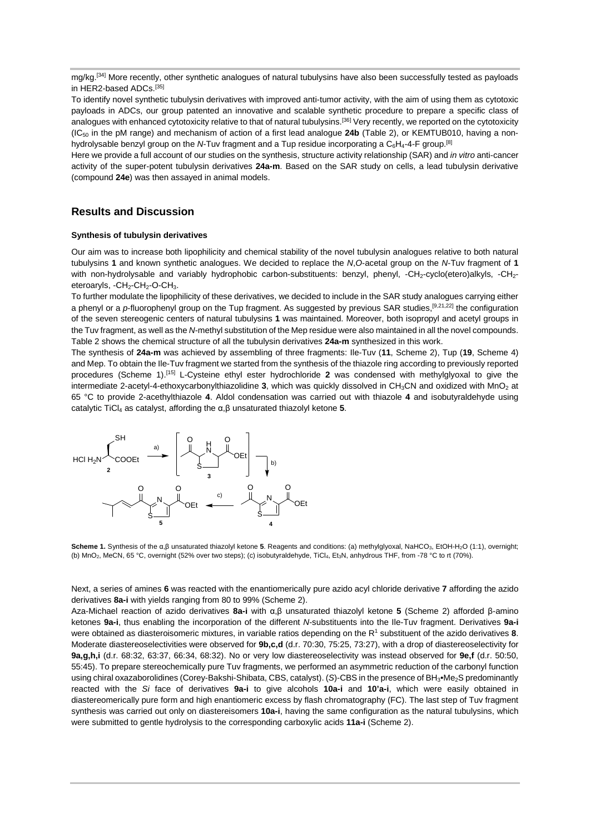mg/kg.<sup>[34]</sup> More recently, other synthetic analogues of natural tubulysins have also been successfully tested as payloads in HER2-based ADCs.[35]

To identify novel synthetic tubulysin derivatives with improved anti-tumor activity, with the aim of using them as cytotoxic payloads in ADCs, our group patented an innovative and scalable synthetic procedure to prepare a specific class of analogues with enhanced cytotoxicity relative to that of natural tubulysins.<sup>[36]</sup> Very recently, we reported on the cytotoxicity (IC50 in the pM range) and mechanism of action of a first lead analogue **24b** (Table 2), or KEMTUB010, having a nonhydrolysable benzyl group on the N-Tuv fragment and a Tup residue incorporating a C<sub>6</sub>H<sub>4</sub>-4-F group.<sup>[8]</sup>

Here we provide a full account of our studies on the synthesis, structure activity relationship (SAR) and *in vitro* anti-cancer activity of the super-potent tubulysin derivatives **24a-m**. Based on the SAR study on cells, a lead tubulysin derivative (compound **24e**) was then assayed in animal models.

## **Results and Discussion**

#### **Synthesis of tubulysin derivatives**

Our aim was to increase both lipophilicity and chemical stability of the novel tubulysin analogues relative to both natural tubulysins **1** and known synthetic analogues. We decided to replace the *N*,*O*-acetal group on the *N*-Tuv fragment of **1** with non-hydrolysable and variably hydrophobic carbon-substituents: benzyl, phenyl, -CH<sub>2</sub>-cyclo(etero)alkyls, -CH<sub>2</sub>eteroaryls, -CH<sub>2</sub>-CH<sub>2</sub>-O-CH<sub>3</sub>.

To further modulate the lipophilicity of these derivatives, we decided to include in the SAR study analogues carrying either a phenyl or a *p*-fluorophenyl group on the Tup fragment. As suggested by previous SAR studies,<sup>[9,21,22]</sup> the configuration of the seven stereogenic centers of natural tubulysins **1** was maintained. Moreover, both isopropyl and acetyl groups in the Tuv fragment, as well as the *N*-methyl substitution of the Mep residue were also maintained in all the novel compounds. Table 2 shows the chemical structure of all the tubulysin derivatives **24a-m** synthesized in this work.

The synthesis of **24a-m** was achieved by assembling of three fragments: Ile-Tuv (**11**, Scheme 2), Tup (**19**, Scheme 4) and Mep. To obtain the Ile-Tuv fragment we started from the synthesis of the thiazole ring according to previously reported procedures (Scheme 1).[15] L-Cysteine ethyl ester hydrochloride **2** was condensed with methylglyoxal to give the intermediate 2-acetyl-4-ethoxycarbonylthiazolidine 3, which was quickly dissolved in CH<sub>3</sub>CN and oxidized with MnO<sub>2</sub> at 65 °C to provide 2-acethylthiazole **4**. Aldol condensation was carried out with thiazole **4** and isobutyraldehyde using catalytic TiCl4 as catalyst, affording the α,β unsaturated thiazolyl ketone **5**.



Scheme 1. Synthesis of the α,β unsaturated thiazolyl ketone 5. Reagents and conditions: (a) methylglyoxal, NaHCO<sub>3</sub>, EtOH-H<sub>2</sub>O (1:1), overnight; (b) MnO<sub>2</sub>, MeCN, 65 °C, overnight (52% over two steps); (c) isobutyraldehyde, TiCl<sub>4</sub>, Et<sub>3</sub>N, anhydrous THF, from -78 °C to rt (70%).

Next, a series of amines **6** was reacted with the enantiomerically pure azido acyl chloride derivative **7** affording the azido derivatives **8a-i** with yields ranging from 80 to 99% (Scheme 2).

Aza-Michael reaction of azido derivatives **8a-i** with α,β unsaturated thiazolyl ketone **5** (Scheme 2) afforded β-amino ketones **9a-i**, thus enabling the incorporation of the different *N*-substituents into the Ile-Tuv fragment. Derivatives **9a-i**  were obtained as diasteroisomeric mixtures, in variable ratios depending on the R<sup>1</sup> substituent of the azido derivatives 8. Moderate diastereoselectivities were observed for **9b,c,d** (d.r. 70:30, 75:25, 73:27), with a drop of diastereoselectivity for **9a,g,h,i** (d.r. 68:32, 63:37, 66:34, 68:32). No or very low diastereoselectivity was instead observed for **9e,f** (d.r. 50:50, 55:45). To prepare stereochemically pure Tuv fragments, we performed an asymmetric reduction of the carbonyl function using chiral oxazaborolidines (Corey-Bakshi-Shibata, CBS, catalyst). (*S*)-CBS in the presence of BH<sub>3</sub>•Me<sub>2</sub>S predominantly reacted with the *Si* face of derivatives **9a-i** to give alcohols **10a-i** and **10'a-i**, which were easily obtained in diastereomerically pure form and high enantiomeric excess by flash chromatography (FC). The last step of Tuv fragment synthesis was carried out only on diastereisomers **10a-i**, having the same configuration as the natural tubulysins, which were submitted to gentle hydrolysis to the corresponding carboxylic acids **11a-i** (Scheme 2).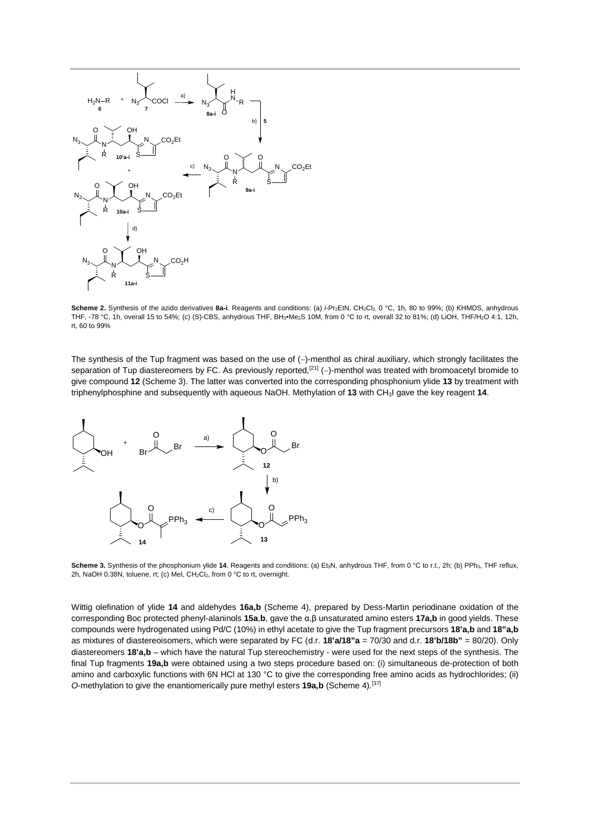

Scheme 2. Synthesis of the azido derivatives 8a-i. Reagents and conditions: (a) i-Pr<sub>2</sub>EtN, CH<sub>2</sub>Cl<sub>2,</sub> 0 °C, 1h, 80 to 99%; (b) KHMDS, anhydrous THF, -78 °C, 1h, overall 15 to 54%; (c) (S)-CBS, anhydrous THF, BH3•Me2S 10M, from 0 °C to rt, overall 32 to 81%; (d) LiOH, THF/H2O 4:1, 12h, rt, 60 to 99%

The synthesis of the Tup fragment was based on the use of (−)-menthol as chiral auxiliary, which strongly facilitates the separation of Tup diastereomers by FC. As previously reported,<sup>[21]</sup> (-)-menthol was treated with bromoacetyl bromide to give compound **12** (Scheme 3). The latter was converted into the corresponding phosphonium ylide **13** by treatment with triphenylphosphine and subsequently with aqueous NaOH. Methylation of **13** with CH3I gave the key reagent **14**.



Scheme 3. Synthesis of the phosphonium ylide 14. Reagents and conditions: (a) Et<sub>3</sub>N, anhydrous THF, from 0 °C to r.t., 2h; (b) PPh<sub>3</sub>, THF reflux, 2h, NaOH 0.38N, toluene, rt; (c) MeI, CH<sub>2</sub>Cl<sub>2</sub>, from 0 °C to rt, overnight.

Wittig olefination of ylide **14** and aldehydes **16a,b** (Scheme 4), prepared by Dess-Martin periodinane oxidation of the corresponding Boc protected phenyl-alaninols **15a**,**b**, gave the α,β unsaturated amino esters **17a,b** in good yields. These compounds were hydrogenated using Pd/C (10%) in ethyl acetate to give the Tup fragment precursors **18'a,b** and **18"a,b** as mixtures of diastereoisomers, which were separated by FC (d.r. **18'a/18"a** = 70/30 and d.r. **18'b/18b"** = 80/20). Only diastereomers **18'a,b** – which have the natural Tup stereochemistry - were used for the next steps of the synthesis. The final Tup fragments **19a,b** were obtained using a two steps procedure based on: (i) simultaneous de-protection of both amino and carboxylic functions with 6N HCl at 130 °C to give the corresponding free amino acids as hydrochlorides; (ii) *O*-methylation to give the enantiomerically pure methyl esters **19a,b** (Scheme 4).[37]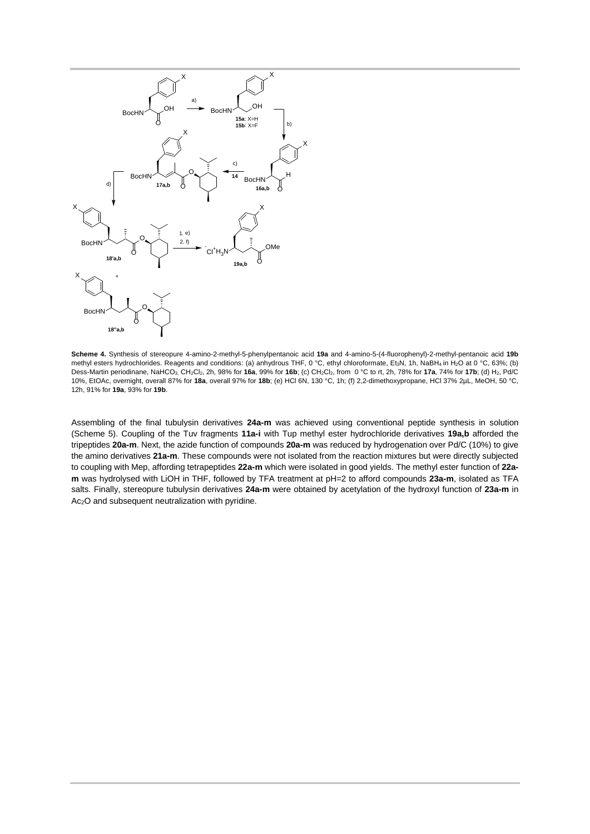

**Scheme 4.** Synthesis of stereopure 4-amino-2-methyl-5-phenylpentanoic acid **19a** and 4-amino-5-(4-fluorophenyl)-2-methyl-pentanoic acid **19b** methyl esters hydrochlorides. Reagents and conditions: (a) anhydrous THF, 0 °C, ethyl chloroformate, Et<sub>3</sub>N, 1h, NaBH<sub>4</sub> in H<sub>2</sub>O at 0 °C, 63%; (b) Dess-Martin periodinane, NaHCO3, CH2Cl2, 2h, 98% for **16a**, 99% for **16b**; (c) CH2Cl2, from 0 °C to rt, 2h, 78% for **17a**, 74% for **17b**; (d) H2, Pd/C 10%, EtOAc, overnight, overall 87% for **18a**, overall 97% for **18b**; (e) HCl 6N, 130 °C, 1h; (f) 2,2-dimethoxypropane, HCl 37% 2µL, MeOH, 50 °C, 12h, 91% for **19a**, 93% for **19b**.

Assembling of the final tubulysin derivatives **24a-m** was achieved using conventional peptide synthesis in solution (Scheme 5). Coupling of the Tuv fragments **11a-i** with Tup methyl ester hydrochloride derivatives **19a,b** afforded the tripeptides **20a-m**. Next, the azide function of compounds **20a-m** was reduced by hydrogenation over Pd/C (10%) to give the amino derivatives **21a-m**. These compounds were not isolated from the reaction mixtures but were directly subjected to coupling with Mep, affording tetrapeptides **22a-m** which were isolated in good yields. The methyl ester function of **22am** was hydrolysed with LiOH in THF, followed by TFA treatment at pH=2 to afford compounds **23a-m**, isolated as TFA salts. Finally, stereopure tubulysin derivatives **24a-m** were obtained by acetylation of the hydroxyl function of **23a-m** in Ac2O and subsequent neutralization with pyridine.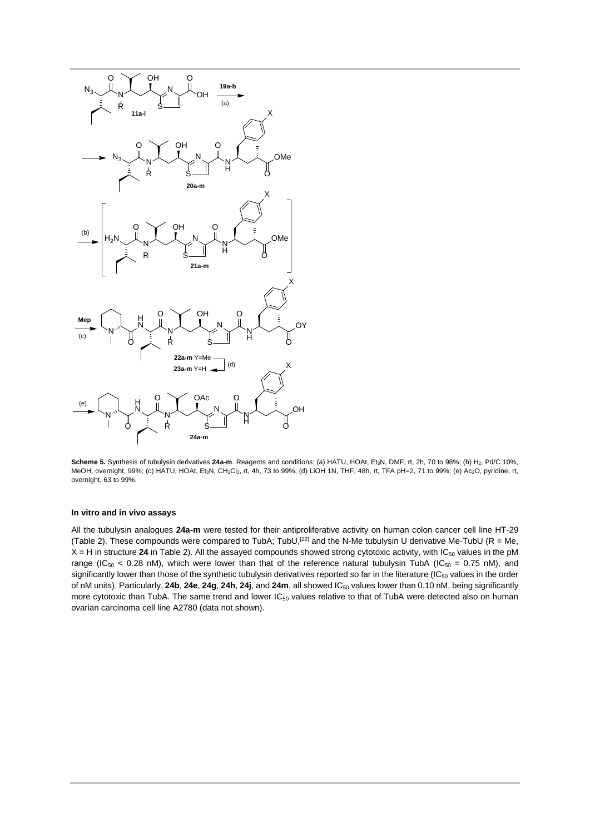

Scheme 5. Synthesis of tubulysin derivatives 24a-m. Reagents and conditions: (a) HATU, HOAt, Et<sub>3</sub>N, DMF, rt, 2h, 70 to 98%; (b) H<sub>2</sub>, Pd/C 10%, MeOH, overnight, 99%; (c) HATU, HOAt, Et3N, CH2Cl2, rt, 4h, 73 to 99%; (d) LiOH 1N, THF, 48h, rt, TFA pH=2, 71 to 99%; (e) Ac2O, pyridine, rt, overnight, 63 to 99%.

#### **In vitro and in vivo assays**

All the tubulysin analogues **24a-m** were tested for their antiproliferative activity on human colon cancer cell line HT-29 (Table 2). These compounds were compared to TubA; TubU,<sup>[22]</sup> and the N-Me tubulysin U derivative Me-TubU (R = Me,  $X = H$  in structure 24 in Table 2). All the assayed compounds showed strong cytotoxic activity, with  $IC_{50}$  values in the pM range (IC<sub>50</sub> < 0.28 nM), which were lower than that of the reference natural tubulysin TubA (IC<sub>50</sub> = 0.75 nM), and significantly lower than those of the synthetic tubulysin derivatives reported so far in the literature  $(IC_{50}$  values in the order of nM units). Particularly, **24b**, **24e**, **24g**, **24h**, **24j**, and **24m**, all showed IC50 values lower than 0.10 nM, being significantly more cytotoxic than TubA. The same trend and lower  $IC_{50}$  values relative to that of TubA were detected also on human ovarian carcinoma cell line A2780 (data not shown).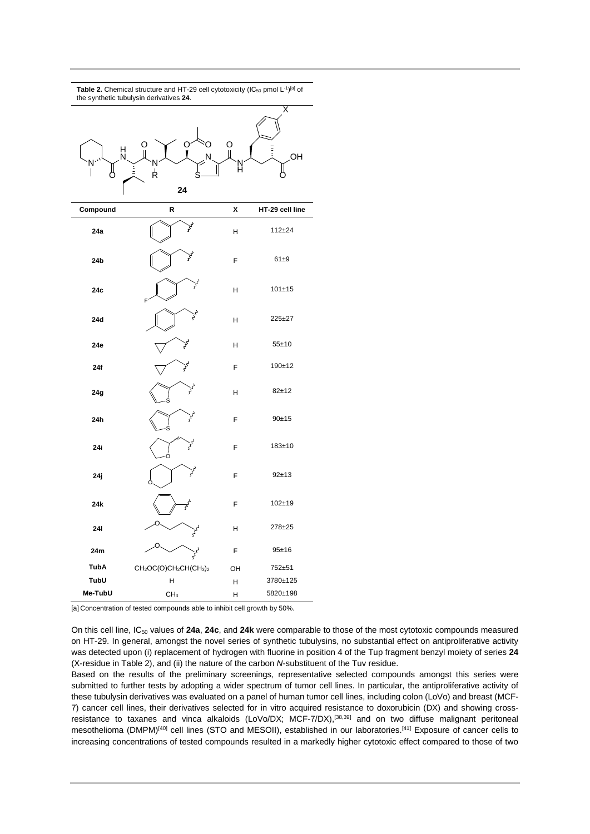| <b>Table 2.</b> Chemical structure and HT-29 cell cytotoxicity (IC <sub>50</sub> pmol L <sup>-1)[a]</sup> of<br>the synthetic tubulysin derivatives 24. |                                                                           |        |                               |  |  |
|---------------------------------------------------------------------------------------------------------------------------------------------------------|---------------------------------------------------------------------------|--------|-------------------------------|--|--|
| H<br>N                                                                                                                                                  | O<br>N<br>Ŕ<br>24                                                         | O<br>Ĥ | $\bar{\mathsf{x}}$<br>E<br>OH |  |  |
| Compound                                                                                                                                                | R                                                                         | χ      | HT-29 cell line               |  |  |
| 24a                                                                                                                                                     | $s^2$                                                                     | Н      | $112 + 24$                    |  |  |
| 24b                                                                                                                                                     | $\mathcal{S}^{\mathcal{S}}$                                               | F      | $61\pm9$                      |  |  |
| 24c                                                                                                                                                     | لمحتي<br>F                                                                | н      | $101 + 15$                    |  |  |
| 24d                                                                                                                                                     | $s^3$                                                                     | н      | 225±27                        |  |  |
| 24e                                                                                                                                                     | ى<br>كۈ                                                                   | н      | $55 + 10$                     |  |  |
| 24f                                                                                                                                                     | $s^2$                                                                     | F      | 190±12                        |  |  |
| 24g                                                                                                                                                     | $s^2$                                                                     | Н      | $82 + 12$                     |  |  |
| 24h                                                                                                                                                     | <b>Sys</b><br>S                                                           | F      | $90+15$                       |  |  |
| 24i                                                                                                                                                     | n,<br><b>Syd</b><br>O                                                     | F      | $183 + 10$                    |  |  |
| 24 j                                                                                                                                                    | ىمى<br>٢                                                                  | F      | $92 + 13$                     |  |  |
| 24k                                                                                                                                                     | $\frac{1}{2}$                                                             | F      | $102 + 19$                    |  |  |
| 241                                                                                                                                                     | O<br>دی                                                                   | Н      | 278±25                        |  |  |
| 24m                                                                                                                                                     |                                                                           | F      | 95±16                         |  |  |
| <b>TubA</b>                                                                                                                                             | CH <sub>2</sub> OC(O)CH <sub>2</sub> CH(CH <sub>3</sub> ) <sub>2</sub>    | OН     | 752±51                        |  |  |
| TubU                                                                                                                                                    | Н                                                                         | н      | 3780±125                      |  |  |
| Me-TubU                                                                                                                                                 | CH <sub>3</sub>                                                           | н      | 5820±198                      |  |  |
|                                                                                                                                                         | [a] Concentration of tested compounds able to inhibit cell growth by 50%. |        |                               |  |  |

On this cell line, IC50 values of **24a**, **24c**, and **24k** were comparable to those of the most cytotoxic compounds measured on HT-29. In general, amongst the novel series of synthetic tubulysins, no substantial effect on antiproliferative activity was detected upon (i) replacement of hydrogen with fluorine in position 4 of the Tup fragment benzyl moiety of series **24** (X-residue in Table 2), and (ii) the nature of the carbon *N*-substituent of the Tuv residue.

Based on the results of the preliminary screenings, representative selected compounds amongst this series were submitted to further tests by adopting a wider spectrum of tumor cell lines. In particular, the antiproliferative activity of these tubulysin derivatives was evaluated on a panel of human tumor cell lines, including colon (LoVo) and breast (MCF-7) cancer cell lines, their derivatives selected for in vitro acquired resistance to doxorubicin (DX) and showing crossresistance to taxanes and vinca alkaloids (LoVo/DX; MCF-7/DX),[38,39] and on two diffuse malignant peritoneal mesothelioma (DMPM)<sup>[40]</sup> cell lines (STO and MESOII), established in our laboratories.<sup>[41]</sup> Exposure of cancer cells to increasing concentrations of tested compounds resulted in a markedly higher cytotoxic effect compared to those of two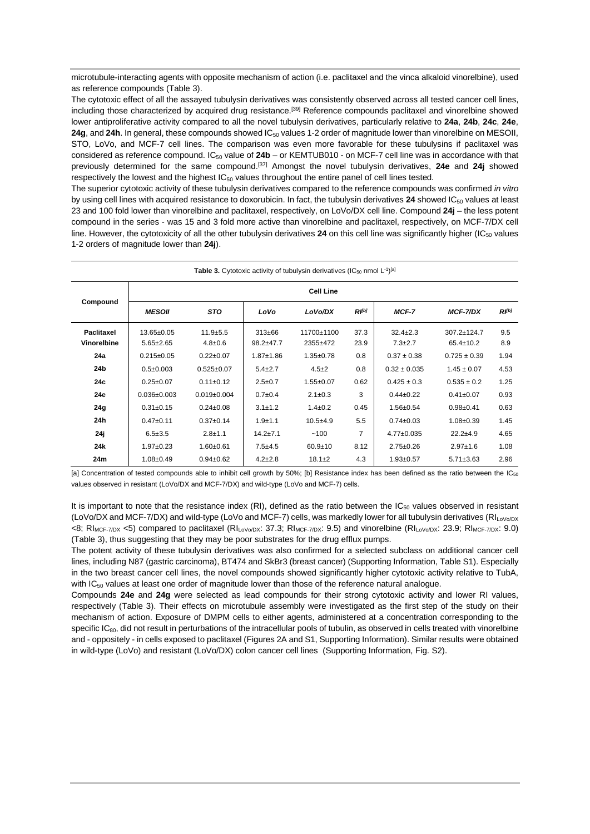microtubule-interacting agents with opposite mechanism of action (i.e. paclitaxel and the vinca alkaloid vinorelbine), used as reference compounds (Table 3).

The cytotoxic effect of all the assayed tubulysin derivatives was consistently observed across all tested cancer cell lines, including those characterized by acquired drug resistance.[39] Reference compounds paclitaxel and vinorelbine showed lower antiproliferative activity compared to all the novel tubulysin derivatives, particularly relative to **24a**, **24b**, **24c**, **24e**, **24g**, and **24h**. In general, these compounds showed IC<sub>50</sub> values 1-2 order of magnitude lower than vinorelbine on MESOII, STO, LoVo, and MCF-7 cell lines. The comparison was even more favorable for these tubulysins if paclitaxel was considered as reference compound. IC<sub>50</sub> value of 24b – or KEMTUB010 - on MCF-7 cell line was in accordance with that previously determined for the same compound.[37] Amongst the novel tubulysin derivatives, **24e** and **24j** showed respectively the lowest and the highest IC<sub>50</sub> values throughout the entire panel of cell lines tested.

The superior cytotoxic activity of these tubulysin derivatives compared to the reference compounds was confirmed *in vitro* by using cell lines with acquired resistance to doxorubicin. In fact, the tubulysin derivatives 24 showed IC<sub>50</sub> values at least 23 and 100 fold lower than vinorelbine and paclitaxel, respectively, on LoVo/DX cell line. Compound **24j** – the less potent compound in the series - was 15 and 3 fold more active than vinorelbine and paclitaxel, respectively, on MCF-7/DX cell line. However, the cytotoxicity of all the other tubulysin derivatives 24 on this cell line was significantly higher  $(IC_{50}$  values 1-2 orders of magnitude lower than **24j**).

| <b>Table 3.</b> Cytotoxic activity of tubulysin derivatives (IC <sub>50</sub> nmol $L^{-1}$ ) <sup>[a]</sup> |                               |                               |                         |                        |              |                                 |                                |            |
|--------------------------------------------------------------------------------------------------------------|-------------------------------|-------------------------------|-------------------------|------------------------|--------------|---------------------------------|--------------------------------|------------|
|                                                                                                              | <b>Cell Line</b>              |                               |                         |                        |              |                                 |                                |            |
| Compound                                                                                                     | <b>MESOII</b>                 | <b>STO</b>                    | LoVo                    | LoVo/DX                | $R^{[b]}$    | MCF-7                           | <b>MCF-7/DX</b>                | $R^{[b]}$  |
| <b>Paclitaxel</b><br>Vinorelbine                                                                             | 13.65±0.05<br>$5.65 \pm 2.65$ | $11.9 + 5.5$<br>$4.8 \pm 0.6$ | $313 + 66$<br>98.2±47.7 | 11700±1100<br>2355±472 | 37.3<br>23.9 | $32.4 \pm 2.3$<br>$7.3 \pm 2.7$ | 307.2±124.7<br>$65.4 \pm 10.2$ | 9.5<br>8.9 |
| 24a                                                                                                          | $0.215 \pm 0.05$              | $0.22 \pm 0.07$               | $1.87 + 1.86$           | $1.35 \pm 0.78$        | 0.8          | $0.37 \pm 0.38$                 | $0.725 \pm 0.39$               | 1.94       |
| 24b                                                                                                          | $0.5 \pm 0.003$               | $0.525 \pm 0.07$              | $5.4 \pm 2.7$           | $4.5 \pm 2$            | 0.8          | $0.32 \pm 0.035$                | $1.45 \pm 0.07$                | 4.53       |
| 24c                                                                                                          | $0.25 \pm 0.07$               | $0.11 \pm 0.12$               | $2.5 \pm 0.7$           | $1.55 + 0.07$          | 0.62         | $0.425 \pm 0.3$                 | $0.535 \pm 0.2$                | 1.25       |
| 24e                                                                                                          | $0.036 \pm 0.003$             | $0.019 \pm 0.004$             | $0.7 + 0.4$             | $2.1 \pm 0.3$          | 3            | $0.44 \pm 0.22$                 | $0.41 \pm 0.07$                | 0.93       |
| 24g                                                                                                          | $0.31 \pm 0.15$               | $0.24 \pm 0.08$               | $3.1 \pm 1.2$           | $1.4 \pm 0.2$          | 0.45         | $1.56 \pm 0.54$                 | $0.98 + 0.41$                  | 0.63       |
| 24h                                                                                                          | $0.47 + 0.11$                 | $0.37 + 0.14$                 | $1.9 + 1.1$             | $10.5 + 4.9$           | 5.5          | $0.74 \pm 0.03$                 | $1.08 \pm 0.39$                | 1.45       |
| 24 ј                                                                                                         | $6.5 + 3.5$                   | $2.8 + 1.1$                   | $14.2 + 7.1$            | ~100                   | 7            | $4.77 \pm 0.035$                | $22.2 + 4.9$                   | 4.65       |
| 24 <sub>k</sub>                                                                                              | $1.97 \pm 0.23$               | $1.60 \pm 0.61$               | $7.5 + 4.5$             | $60.9 + 10$            | 8.12         | $2.75 \pm 0.26$                 | $2.97 + 1.6$                   | 1.08       |
| 24m                                                                                                          | $1.08 \pm 0.49$               | $0.94 \pm 0.62$               | $4.2 \pm 2.8$           | $18.1 \pm 2$           | 4.3          | $1.93 \pm 0.57$                 | $5.71 \pm 3.63$                | 2.96       |

[a] Concentration of tested compounds able to inhibit cell growth by 50%; [b] Resistance index has been defined as the ratio between the IC<sub>50</sub> values observed in resistant (LoVo/DX and MCF-7/DX) and wild-type (LoVo and MCF-7) cells.

It is important to note that the resistance index (RI), defined as the ratio between the  $IC_{50}$  values observed in resistant (LoVo/DX and MCF-7/DX) and wild-type (LoVo and MCF-7) cells, was markedly lower for all tubulysin derivatives (RIL<sub>oVo/DX</sub>)  $\langle 8; R|_{MCF-7/NX} \langle 5\rangle$  compared to paclitaxel  $(R|_{N\sqrt{N}X}: 37.3; R|_{MCF-7/NX}: 9.5)$  and vinorelbine  $(R|_{N\sqrt{N}X}: 23.9; R|_{MCF-7/NX}: 9.0)$ (Table 3), thus suggesting that they may be poor substrates for the drug efflux pumps.

The potent activity of these tubulysin derivatives was also confirmed for a selected subclass on additional cancer cell lines, including N87 (gastric carcinoma), BT474 and SkBr3 (breast cancer) (Supporting Information, Table S1). Especially in the two breast cancer cell lines, the novel compounds showed significantly higher cytotoxic activity relative to TubA, with IC<sub>50</sub> values at least one order of magnitude lower than those of the reference natural analogue.

Compounds **24e** and **24g** were selected as lead compounds for their strong cytotoxic activity and lower RI values, respectively (Table 3). Their effects on microtubule assembly were investigated as the first step of the study on their mechanism of action. Exposure of DMPM cells to either agents, administered at a concentration corresponding to the specific IC<sub>80</sub>, did not result in perturbations of the intracellular pools of tubulin, as observed in cells treated with vinorelbine and - oppositely - in cells exposed to paclitaxel (Figures 2A and S1, Supporting Information). Similar results were obtained in wild-type (LoVo) and resistant (LoVo/DX) colon cancer cell lines (Supporting Information, Fig. S2).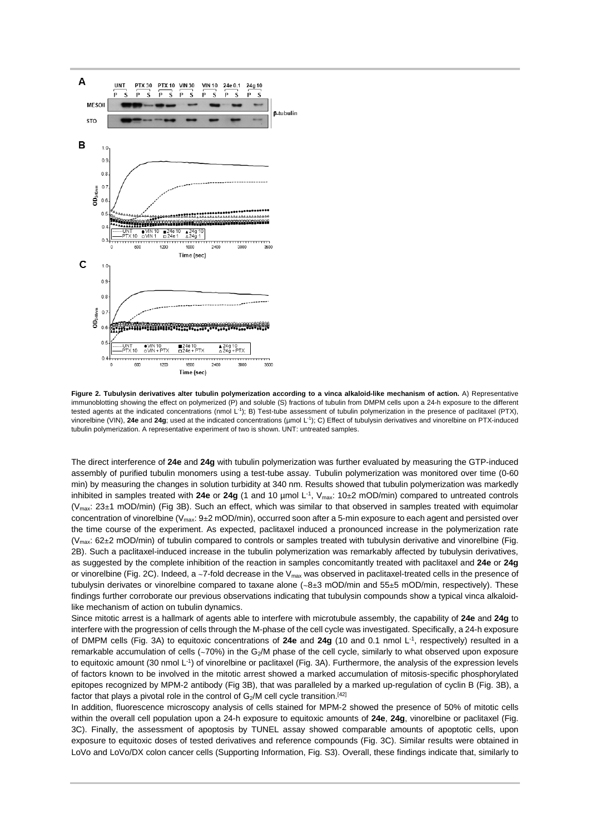

**Figure 2. Tubulysin derivatives alter tubulin polymerization according to a vinca alkaloid-like mechanism of action.** A) Representative immunoblotting showing the effect on polymerized (P) and soluble (S) fractions of tubulin from DMPM cells upon a 24-h exposure to the different tested agents at the indicated concentrations (nmol L-1); B) Test-tube assessment of tubulin polymerization in the presence of paclitaxel (PTX), vinorelbine (VIN), **24e** and **24g**; used at the indicated concentrations (µmol L-1); C) Effect of tubulysin derivatives and vinorelbine on PTX-induced tubulin polymerization. A representative experiment of two is shown. UNT: untreated samples.

The direct interference of **24e** and **24g** with tubulin polymerization was further evaluated by measuring the GTP-induced assembly of purified tubulin monomers using a test-tube assay. Tubulin polymerization was monitored over time (0-60 min) by measuring the changes in solution turbidity at 340 nm. Results showed that tubulin polymerization was markedly inhibited in samples treated with 24e or 24g (1 and 10 µmol L<sup>-1</sup>, V<sub>max</sub>: 10±2 mOD/min) compared to untreated controls  $(V<sub>max</sub>: 23±1 mOD/min)$  (Fig 3B). Such an effect, which was similar to that observed in samples treated with equimolar concentration of vinorelbine ( $V_{max}$ : 9±2 mOD/min), occurred soon after a 5-min exposure to each agent and persisted over the time course of the experiment. As expected, paclitaxel induced a pronounced increase in the polymerization rate ( $V_{\text{max}}$ : 62±2 mOD/min) of tubulin compared to controls or samples treated with tubulysin derivative and vinorelbine (Fig. 2B). Such a paclitaxel-induced increase in the tubulin polymerization was remarkably affected by tubulysin derivatives, as suggested by the complete inhibition of the reaction in samples concomitantly treated with paclitaxel and **24e** or **24g** or vinorelbine (Fig. 2C). Indeed, a  $\sim$ 7-fold decrease in the V<sub>max</sub> was observed in paclitaxel-treated cells in the presence of tubulysin derivates or vinorelbine compared to taxane alone (~8±3 mOD/min and 55±5 mOD/min, respectively). These findings further corroborate our previous observations indicating that tubulysin compounds show a typical vinca alkaloidlike mechanism of action on tubulin dynamics.

Since mitotic arrest is a hallmark of agents able to interfere with microtubule assembly, the capability of **24e** and **24g** to interfere with the progression of cells through the M-phase of the cell cycle was investigated. Specifically, a 24-h exposure of DMPM cells (Fig. 3A) to equitoxic concentrations of **24e** and **24g** (10 and 0.1 nmol L-1, respectively) resulted in a remarkable accumulation of cells (~70%) in the G<sub>2</sub>/M phase of the cell cycle, similarly to what observed upon exposure to equitoxic amount (30 nmol L-1) of vinorelbine or paclitaxel (Fig. 3A). Furthermore, the analysis of the expression levels of factors known to be involved in the mitotic arrest showed a marked accumulation of mitosis-specific phosphorylated epitopes recognized by MPM-2 antibody (Fig 3B), that was paralleled by a marked up-regulation of cyclin B (Fig. 3B), a factor that plays a pivotal role in the control of  $G_2/M$  cell cycle transition.<sup>[42]</sup>

In addition, fluorescence microscopy analysis of cells stained for MPM-2 showed the presence of 50% of mitotic cells within the overall cell population upon a 24-h exposure to equitoxic amounts of **24e**, **24g**, vinorelbine or paclitaxel (Fig. 3C). Finally, the assessment of apoptosis by TUNEL assay showed comparable amounts of apoptotic cells, upon exposure to equitoxic doses of tested derivatives and reference compounds (Fig. 3C). Similar results were obtained in LoVo and LoVo/DX colon cancer cells (Supporting Information, Fig. S3). Overall, these findings indicate that, similarly to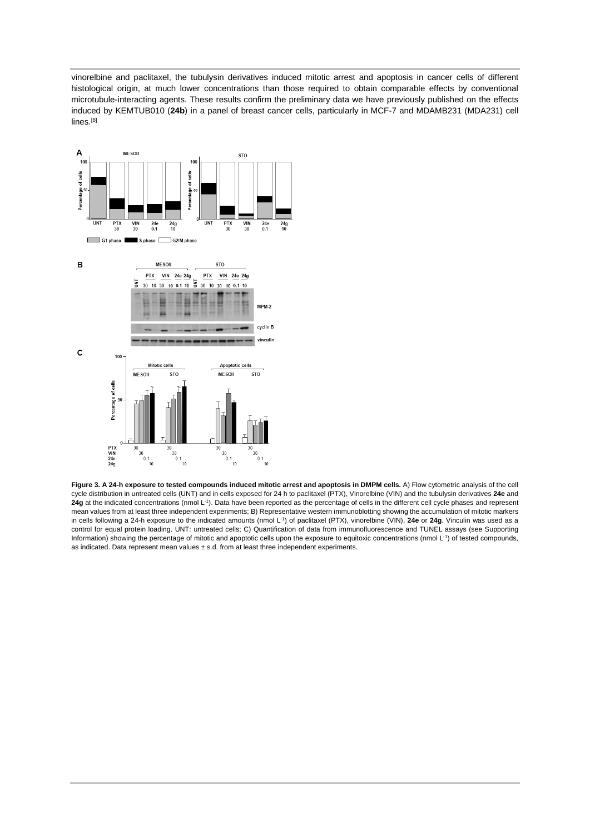vinorelbine and paclitaxel, the tubulysin derivatives induced mitotic arrest and apoptosis in cancer cells of different histological origin, at much lower concentrations than those required to obtain comparable effects by conventional microtubule-interacting agents. These results confirm the preliminary data we have previously published on the effects induced by KEMTUB010 (**24b**) in a panel of breast cancer cells, particularly in MCF-7 and MDAMB231 (MDA231) cell lines. [8]



**Figure 3. A 24-h exposure to tested compounds induced mitotic arrest and apoptosis in DMPM cells.** A) Flow cytometric analysis of the cell cycle distribution in untreated cells (UNT) and in cells exposed for 24 h to paclitaxel (PTX), Vinorelbine (VIN) and the tubulysin derivatives **24e** and **24g** at the indicated concentrations (nmol L-1). Data have been reported as the percentage of cells in the different cell cycle phases and represent mean values from at least three independent experiments; B) Representative western immunoblotting showing the accumulation of mitotic markers in cells following a 24-h exposure to the indicated amounts (nmol L-1) of paclitaxel (PTX), vinorelbine (VIN), **24e** or **24g**. Vinculin was used as a control for equal protein loading. UNT: untreated cells; C) Quantification of data from immunofluorescence and TUNEL assays (see Supporting Information) showing the percentage of mitotic and apoptotic cells upon the exposure to equitoxic concentrations (nmol L<sup>-1</sup>) of tested compounds, as indicated. Data represent mean values ± s.d. from at least three independent experiments.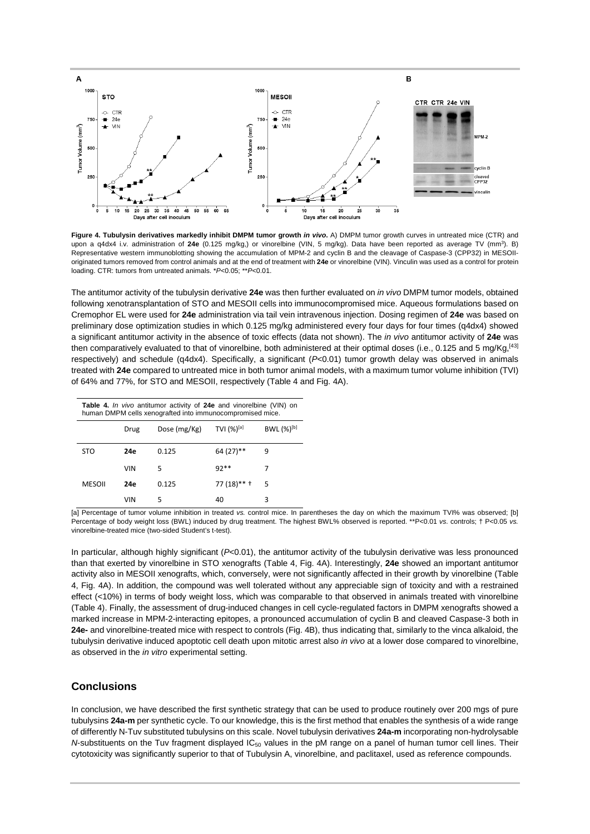

**Figure 4. Tubulysin derivatives markedly inhibit DMPM tumor growth** *in vivo***.** A) DMPM tumor growth curves in untreated mice (CTR) and upon a q4dx4 i.v. administration of **24e** (0.125 mg/kg,) or vinorelbine (VIN, 5 mg/kg). Data have been reported as average TV (mm3). B) Representative western immunoblotting showing the accumulation of MPM-2 and cyclin B and the cleavage of Caspase-3 (CPP32) in MESOIIoriginated tumors removed from control animals and at the end of treatment with **24e** or vinorelbine (VIN). Vinculin was used as a control for protein loading. CTR: tumors from untreated animals. \**P*<0.05; \*\**P*<0.01.

The antitumor activity of the tubulysin derivative **24e** was then further evaluated on *in vivo* DMPM tumor models, obtained following xenotransplantation of STO and MESOII cells into immunocompromised mice. Aqueous formulations based on Cremophor EL were used for **24e** administration via tail vein intravenous injection. Dosing regimen of **24e** was based on preliminary dose optimization studies in which 0.125 mg/kg administered every four days for four times (q4dx4) showed a significant antitumor activity in the absence of toxic effects (data not shown). The *in vivo* antitumor activity of **24e** was then comparatively evaluated to that of vinorelbine, both administered at their optimal doses (i.e., 0.125 and 5 mg/Kg,<sup>[43]</sup> respectively) and schedule (q4dx4). Specifically, a significant (*P*<0.01) tumor growth delay was observed in animals treated with **24e** compared to untreated mice in both tumor animal models, with a maximum tumor volume inhibition (TVI) of 64% and 77%, for STO and MESOII, respectively (Table 4 and Fig. 4A).

| <b>Table 4.</b> In vivo antitumor activity of 24e and vinorelbine (VIN) on<br>human DMPM cells xenografted into immunocompromised mice. |            |              |                  |                 |
|-----------------------------------------------------------------------------------------------------------------------------------------|------------|--------------|------------------|-----------------|
|                                                                                                                                         | Drug       | Dose (mg/Kg) | TVI $(\%)^{[a]}$ | $BWL (%)^{[b]}$ |
| <b>STO</b>                                                                                                                              | 24e        | 0.125        | 64 (27)**        | 9               |
|                                                                                                                                         | <b>VIN</b> | 5            | $92**$           |                 |
| <b>MESOII</b>                                                                                                                           | 24e        | 0.125        | 77 (18)** †      | 5               |
|                                                                                                                                         | VIN        | 5            | 40               | 3               |

<sup>[</sup>a] Percentage of tumor volume inhibition in treated *vs.* control mice. In parentheses the day on which the maximum TVI% was observed; [b] Percentage of body weight loss (BWL) induced by drug treatment. The highest BWL% observed is reported. \*\*P<0.01 *vs.* controls; † P<0.05 *vs.* vinorelbine-treated mice (two-sided Student's t-test).

In particular, although highly significant (*P*<0.01), the antitumor activity of the tubulysin derivative was less pronounced than that exerted by vinorelbine in STO xenografts (Table 4, Fig. 4A). Interestingly, **24e** showed an important antitumor activity also in MESOII xenografts, which, conversely, were not significantly affected in their growth by vinorelbine (Table 4, Fig. 4A). In addition, the compound was well tolerated without any appreciable sign of toxicity and with a restrained effect (<10%) in terms of body weight loss, which was comparable to that observed in animals treated with vinorelbine (Table 4). Finally, the assessment of drug-induced changes in cell cycle-regulated factors in DMPM xenografts showed a marked increase in MPM-2-interacting epitopes, a pronounced accumulation of cyclin B and cleaved Caspase-3 both in **24e-** and vinorelbine-treated mice with respect to controls (Fig. 4B), thus indicating that, similarly to the vinca alkaloid, the tubulysin derivative induced apoptotic cell death upon mitotic arrest also *in vivo* at a lower dose compared to vinorelbine, as observed in the *in vitro* experimental setting.

## **Conclusions**

In conclusion, we have described the first synthetic strategy that can be used to produce routinely over 200 mgs of pure tubulysins **24a-m** per synthetic cycle. To our knowledge, this is the first method that enables the synthesis of a wide range of differently N-Tuv substituted tubulysins on this scale. Novel tubulysin derivatives **24a-m** incorporating non-hydrolysable *N*-substituents on the Tuv fragment displayed IC<sub>50</sub> values in the pM range on a panel of human tumor cell lines. Their cytotoxicity was significantly superior to that of Tubulysin A, vinorelbine, and paclitaxel, used as reference compounds.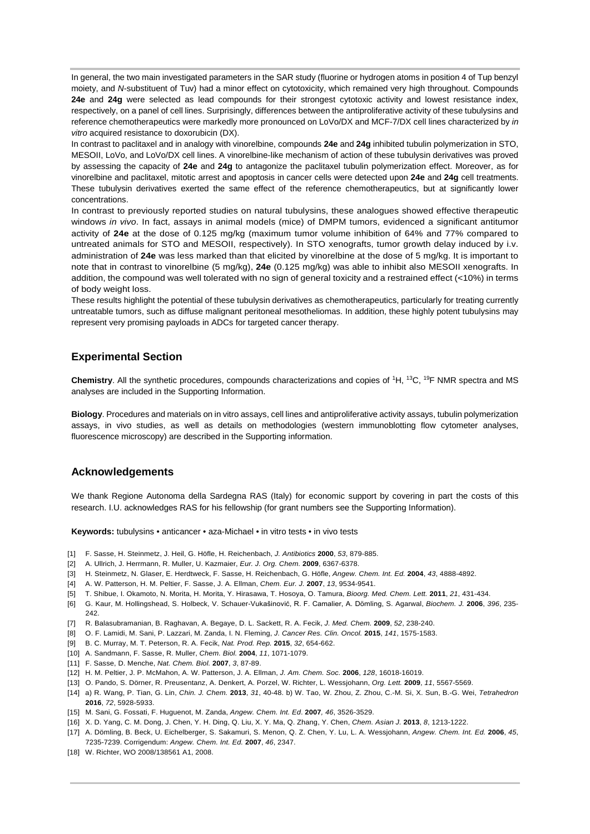In general, the two main investigated parameters in the SAR study (fluorine or hydrogen atoms in position 4 of Tup benzyl moiety, and *N*-substituent of Tuv) had a minor effect on cytotoxicity, which remained very high throughout. Compounds **24e** and **24g** were selected as lead compounds for their strongest cytotoxic activity and lowest resistance index, respectively, on a panel of cell lines. Surprisingly, differences between the antiproliferative activity of these tubulysins and reference chemotherapeutics were markedly more pronounced on LoVo/DX and MCF-7/DX cell lines characterized by *in vitro* acquired resistance to doxorubicin (DX).

In contrast to paclitaxel and in analogy with vinorelbine, compounds **24e** and **24g** inhibited tubulin polymerization in STO, MESOII, LoVo, and LoVo/DX cell lines. A vinorelbine-like mechanism of action of these tubulysin derivatives was proved by assessing the capacity of **24e** and **24g** to antagonize the paclitaxel tubulin polymerization effect. Moreover, as for vinorelbine and paclitaxel, mitotic arrest and apoptosis in cancer cells were detected upon **24e** and **24g** cell treatments. These tubulysin derivatives exerted the same effect of the reference chemotherapeutics, but at significantly lower concentrations.

In contrast to previously reported studies on natural tubulysins, these analogues showed effective therapeutic windows *in vivo*. In fact, assays in animal models (mice) of DMPM tumors, evidenced a significant antitumor activity of **24e** at the dose of 0.125 mg/kg (maximum tumor volume inhibition of 64% and 77% compared to untreated animals for STO and MESOII, respectively). In STO xenografts, tumor growth delay induced by i.v. administration of **24e** was less marked than that elicited by vinorelbine at the dose of 5 mg/kg. It is important to note that in contrast to vinorelbine (5 mg/kg), **24e** (0.125 mg/kg) was able to inhibit also MESOII xenografts. In addition, the compound was well tolerated with no sign of general toxicity and a restrained effect (<10%) in terms of body weight loss.

These results highlight the potential of these tubulysin derivatives as chemotherapeutics, particularly for treating currently untreatable tumors, such as diffuse malignant peritoneal mesotheliomas. In addition, these highly potent tubulysins may represent very promising payloads in ADCs for targeted cancer therapy.

## **Experimental Section**

**Chemistry**. All the synthetic procedures, compounds characterizations and copies of 1H, 13C, 19F NMR spectra and MS analyses are included in the Supporting Information.

**Biology**. Procedures and materials on in vitro assays, cell lines and antiproliferative activity assays, tubulin polymerization assays, in vivo studies, as well as details on methodologies (western immunoblotting flow cytometer analyses, fluorescence microscopy) are described in the Supporting information.

## **Acknowledgements**

We thank Regione Autonoma della Sardegna RAS (Italy) for economic support by covering in part the costs of this research. I.U. acknowledges RAS for his fellowship (for grant numbers see the Supporting Information).

**Keywords:** tubulysins • anticancer • aza-Michael • in vitro tests • in vivo tests

- [1] F. Sasse, H. Steinmetz, J. Heil, G. Höfle, H. Reichenbach, *J. Antibiotics* **2000**, *53*, 879-885.
- [2] A. Ullrich, J. Herrmann, R. Muller, U. Kazmaier, *Eur. J. Org. Chem.* **2009**, 6367-6378.
- [3] H. Steinmetz, N. Glaser, E. Herdtweck, F. Sasse, H. Reichenbach, G. Höfle, *Angew. Chem. Int. Ed.* **2004**, *43*, 4888-4892.
- [4] A. W. Patterson, H. M. Peltier, F. Sasse, J. A. Ellman, *Chem. Eur. J.* **2007**, *13*, 9534-9541.
- [5] T. Shibue, I. Okamoto, N. Morita, H. Morita, Y. Hirasawa, T. Hosoya, O. Tamura, *Bioorg. Med. Chem. Lett.* **2011**, *21*, 431-434.
- [6] G. Kaur, M. Hollingshead, S. Holbeck, V. Schauer-Vukašinović, R. F. Camalier, A. Dömling, S. Agarwal, *Biochem. J.* **2006**, *396*, 235- 242.
- [7] R. Balasubramanian, B. Raghavan, A. Begaye, D. L. Sackett, R. A. Fecik, *J. Med. Chem.* **2009**, *52*, 238-240.
- [8] O. F. Lamidi, M. Sani, P. Lazzari, M. Zanda, I. N. Fleming, *J. Cancer Res. Clin. Oncol.* **2015**, *141*, 1575-1583.
- [9] B. C. Murray, M. T. Peterson, R. A. Fecik, *Nat. Prod. Rep.* **2015**, *32*, 654-662.
- [10] A. Sandmann, F. Sasse, R. Muller, *Chem. Biol.* **2004**, *11*, 1071-1079.
- [11] F. Sasse, D. Menche, *Nat. Chem. Biol.* **2007**, *3*, 87-89.
- [12] H. M. Peltier, J. P. McMahon, A. W. Patterson, J. A. Ellman, *J. Am. Chem. Soc.* **2006**, *128*, 16018-16019.
- [13] O. Pando, S. Dörner, R. Preusentanz, A. Denkert, A. Porzel, W. Richter, L. Wessjohann, *Org. Lett.* **2009**, *11*, 5567-5569.
- [14] a) R. Wang, P. Tian, G. Lin, *Chin. J. Chem.* **2013**, *31*, 40-48. b) W. Tao, W. Zhou, Z. Zhou, C.-M. Si, X. Sun, B.-G. Wei, *Tetrahedron* **2016**, *72*, 5928-5933.
- [15] M. Sani, G. Fossati, F. Huguenot, M. Zanda, *Angew. Chem. Int. Ed*. **2007***, 46*, 3526-3529.
- [16] X. D. Yang, C. M. Dong, J. Chen, Y. H. Ding, Q. Liu, X. Y. Ma, Q. Zhang, Y. Chen, *Chem. Asian J.* **2013**, *8*, 1213-1222.
- [17] A. Dömling, B. Beck, U. Eichelberger, S. Sakamuri, S. Menon, Q. Z. Chen, Y. Lu, L. A. Wessjohann, *Angew. Chem. Int. Ed.* **2006**, *45*, 7235-7239. Corrigendum: *Angew. Chem. Int. Ed.* **2007**, *46*, 2347.
- [18] W. Richter, WO 2008/138561 A1, 2008.